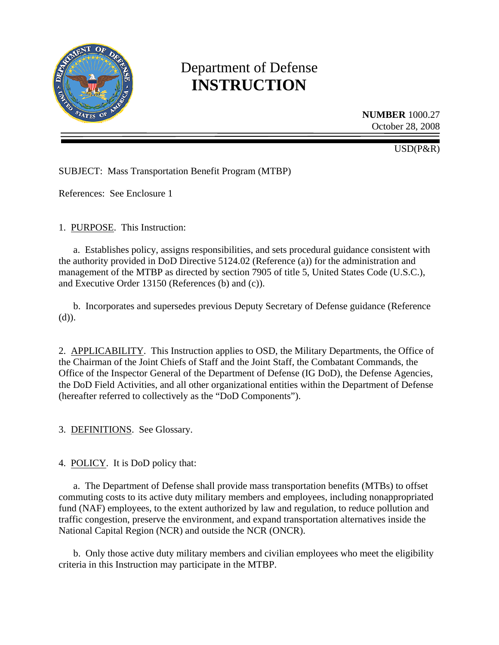

# Department of Defense **INSTRUCTION**

**NUMBER** 1000.27 October 28, 2008

USD(P&R)

SUBJECT: Mass Transportation Benefit Program (MTBP)

References: See Enclosure 1

1. PURPOSE. This Instruction:

 a. Establishes policy, assigns responsibilities, and sets procedural guidance consistent with the authority provided in DoD Directive 5124.02 (Reference (a)) for the administration and management of the MTBP as directed by section 7905 of title 5, United States Code (U.S.C.), and Executive Order 13150 (References (b) and (c)).

 b. Incorporates and supersedes previous Deputy Secretary of Defense guidance (Reference (d)).

2. APPLICABILITY. This Instruction applies to OSD, the Military Departments, the Office of the Chairman of the Joint Chiefs of Staff and the Joint Staff, the Combatant Commands, the Office of the Inspector General of the Department of Defense (IG DoD), the Defense Agencies, the DoD Field Activities, and all other organizational entities within the Department of Defense (hereafter referred to collectively as the "DoD Components").

3. DEFINITIONS. See Glossary.

4. POLICY. It is DoD policy that:

 a. The Department of Defense shall provide mass transportation benefits (MTBs) to offset commuting costs to its active duty military members and employees, including nonappropriated fund (NAF) employees, to the extent authorized by law and regulation, to reduce pollution and traffic congestion, preserve the environment, and expand transportation alternatives inside the National Capital Region (NCR) and outside the NCR (ONCR).

 b. Only those active duty military members and civilian employees who meet the eligibility criteria in this Instruction may participate in the MTBP.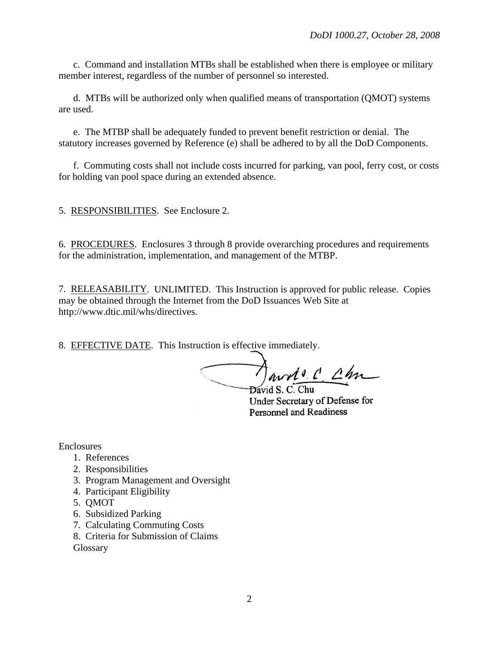c. Command and installation MTBs shall be established when there is employee or military member interest, regardless of the number of personnel so interested.

 d. MTBs will be authorized only when qualified means of transportation (QMOT) systems are used.

 e. The MTBP shall be adequately funded to prevent benefit restriction or denial. The statutory increases governed by Reference (e) shall be adhered to by all the DoD Components.

 f. Commuting costs shall not include costs incurred for parking, van pool, ferry cost, or costs for holding van pool space during an extended absence.

5. RESPONSIBILITIES. See Enclosure 2.

6. PROCEDURES. Enclosures 3 through 8 provide overarching procedures and requirements for the administration, implementation, and management of the MTBP.

7. RELEASABILITY. UNLIMITED. This Instruction is approved for public release. Copies may be obtained through the Internet from the DoD Issuances Web Site at http://www.dtic.mil/whs/directives.

8. EFFECTIVE DATE. This Instruction is effective immediately.

avols C Chn David S. C. Chu

Under Secretary of Defense for **Personnel and Readiness** 

Enclosures

- 1. References
- 2. Responsibilities
- 3. Program Management and Oversight
- 4. Participant Eligibility
- 5. QMOT
- 6. Subsidized Parking
- 7. Calculating Commuting Costs
- 8. Criteria for Submission of Claims
- **Glossary**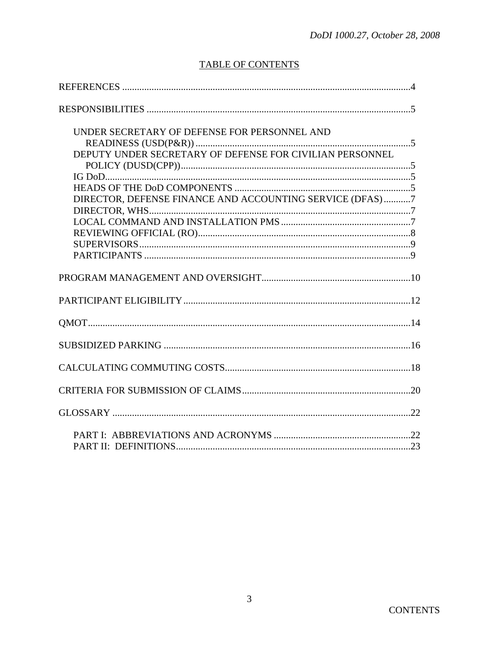# **TABLE OF CONTENTS**

| UNDER SECRETARY OF DEFENSE FOR PERSONNEL AND              |  |
|-----------------------------------------------------------|--|
|                                                           |  |
| DEPUTY UNDER SECRETARY OF DEFENSE FOR CIVILIAN PERSONNEL  |  |
|                                                           |  |
|                                                           |  |
|                                                           |  |
| DIRECTOR, DEFENSE FINANCE AND ACCOUNTING SERVICE (DFAS) 7 |  |
|                                                           |  |
|                                                           |  |
|                                                           |  |
|                                                           |  |
|                                                           |  |
|                                                           |  |
|                                                           |  |
|                                                           |  |
|                                                           |  |
|                                                           |  |
|                                                           |  |
|                                                           |  |
|                                                           |  |
|                                                           |  |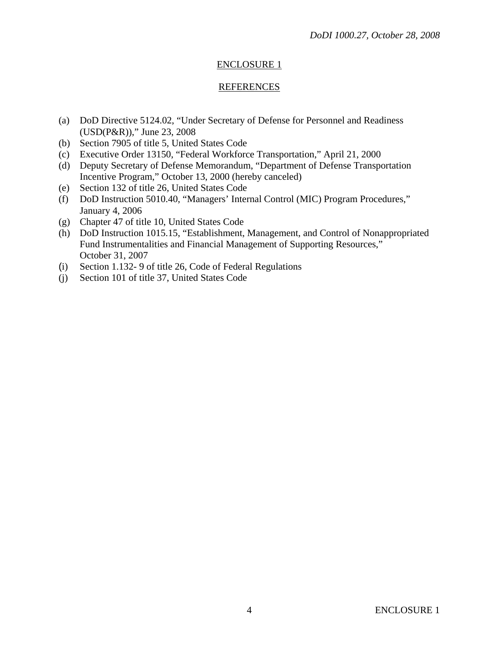## **REFERENCES**

- (a) DoD Directive 5124.02, "Under Secretary of Defense for Personnel and Readiness (USD(P&R))," June 23, 2008
- (b) Section 7905 of title 5, United States Code
- (c) Executive Order 13150, "Federal Workforce Transportation," April 21, 2000
- (d) Deputy Secretary of Defense Memorandum, "Department of Defense Transportation Incentive Program," October 13, 2000 (hereby canceled)
- (e) Section 132 of title 26, United States Code
- (f) DoD Instruction 5010.40, "Managers' Internal Control (MIC) Program Procedures," January 4, 2006
- (g) Chapter 47 of title 10, United States Code
- (h) DoD Instruction 1015.15, "Establishment, Management, and Control of Nonappropriated Fund Instrumentalities and Financial Management of Supporting Resources," October 31, 2007
- (i) Section 1.132- 9 of title 26, Code of Federal Regulations
- (j) Section 101 of title 37, United States Code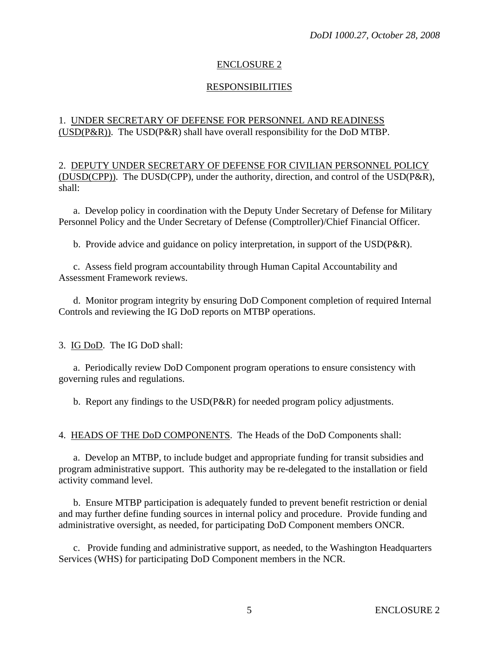## RESPONSIBILITIES

## 1. UNDER SECRETARY OF DEFENSE FOR PERSONNEL AND READINESS (USD(P&R)). The USD(P&R) shall have overall responsibility for the DoD MTBP.

2. DEPUTY UNDER SECRETARY OF DEFENSE FOR CIVILIAN PERSONNEL POLICY (DUSD(CPP)). The DUSD(CPP), under the authority, direction, and control of the USD(P&R), shall:

 a. Develop policy in coordination with the Deputy Under Secretary of Defense for Military Personnel Policy and the Under Secretary of Defense (Comptroller)/Chief Financial Officer.

b. Provide advice and guidance on policy interpretation, in support of the USD(P&R).

 c. Assess field program accountability through Human Capital Accountability and Assessment Framework reviews.

 d. Monitor program integrity by ensuring DoD Component completion of required Internal Controls and reviewing the IG DoD reports on MTBP operations.

3. IG DoD. The IG DoD shall:

 a. Periodically review DoD Component program operations to ensure consistency with governing rules and regulations.

b. Report any findings to the USD(P&R) for needed program policy adjustments.

4. HEADS OF THE DoD COMPONENTS. The Heads of the DoD Components shall:

 a. Develop an MTBP, to include budget and appropriate funding for transit subsidies and program administrative support. This authority may be re-delegated to the installation or field activity command level.

 b. Ensure MTBP participation is adequately funded to prevent benefit restriction or denial and may further define funding sources in internal policy and procedure. Provide funding and administrative oversight, as needed, for participating DoD Component members ONCR.

 c. Provide funding and administrative support, as needed, to the Washington Headquarters Services (WHS) for participating DoD Component members in the NCR.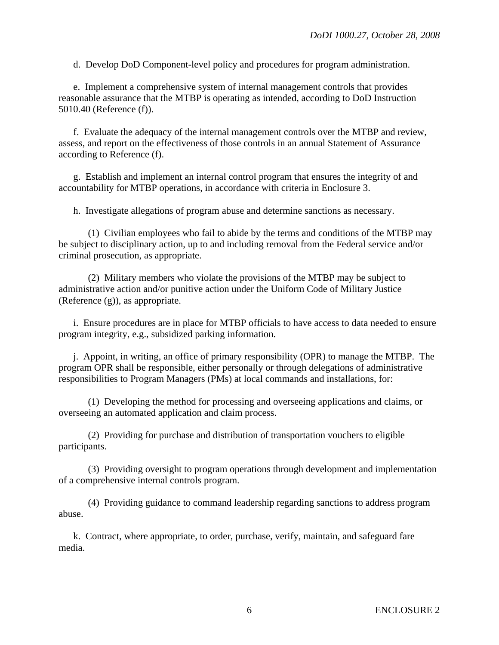d. Develop DoD Component-level policy and procedures for program administration.

 e. Implement a comprehensive system of internal management controls that provides reasonable assurance that the MTBP is operating as intended, according to DoD Instruction 5010.40 (Reference (f)).

 f. Evaluate the adequacy of the internal management controls over the MTBP and review, assess, and report on the effectiveness of those controls in an annual Statement of Assurance according to Reference (f).

 g. Establish and implement an internal control program that ensures the integrity of and accountability for MTBP operations, in accordance with criteria in Enclosure 3.

h. Investigate allegations of program abuse and determine sanctions as necessary.

 (1) Civilian employees who fail to abide by the terms and conditions of the MTBP may be subject to disciplinary action, up to and including removal from the Federal service and/or criminal prosecution, as appropriate.

 (2) Military members who violate the provisions of the MTBP may be subject to administrative action and/or punitive action under the Uniform Code of Military Justice (Reference (g)), as appropriate.

 i. Ensure procedures are in place for MTBP officials to have access to data needed to ensure program integrity, e.g., subsidized parking information.

 j. Appoint, in writing, an office of primary responsibility (OPR) to manage the MTBP. The program OPR shall be responsible, either personally or through delegations of administrative responsibilities to Program Managers (PMs) at local commands and installations, for:

 (1) Developing the method for processing and overseeing applications and claims, or overseeing an automated application and claim process.

 (2) Providing for purchase and distribution of transportation vouchers to eligible participants.

 (3) Providing oversight to program operations through development and implementation of a comprehensive internal controls program.

 (4) Providing guidance to command leadership regarding sanctions to address program abuse.

 k. Contract, where appropriate, to order, purchase, verify, maintain, and safeguard fare media.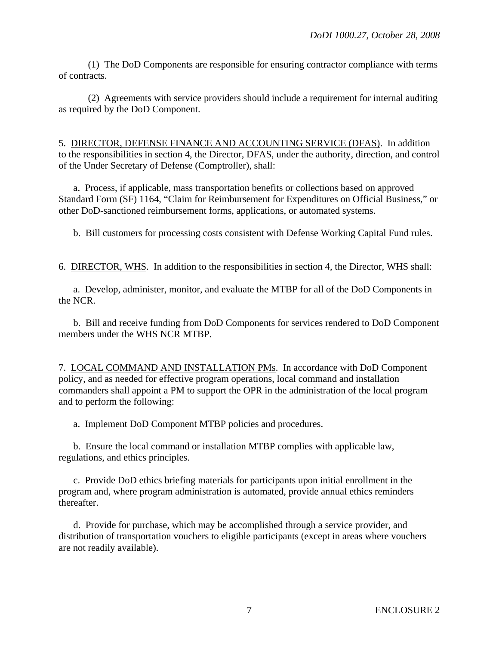(1) The DoD Components are responsible for ensuring contractor compliance with terms of contracts.

 (2) Agreements with service providers should include a requirement for internal auditing as required by the DoD Component.

5. DIRECTOR, DEFENSE FINANCE AND ACCOUNTING SERVICE (DFAS). In addition to the responsibilities in section 4, the Director, DFAS, under the authority, direction, and control of the Under Secretary of Defense (Comptroller), shall:

a. Process, if applicable, mass transportation benefits or collections based on approved Standard Form (SF) 1164, "Claim for Reimbursement for Expenditures on Official Business," or other DoD-sanctioned reimbursement forms, applications, or automated systems.

b. Bill customers for processing costs consistent with Defense Working Capital Fund rules.

6. DIRECTOR, WHS. In addition to the responsibilities in section 4, the Director, WHS shall:

 a. Develop, administer, monitor, and evaluate the MTBP for all of the DoD Components in the NCR.

 b. Bill and receive funding from DoD Components for services rendered to DoD Component members under the WHS NCR MTBP.

7. LOCAL COMMAND AND INSTALLATION PMs. In accordance with DoD Component policy, and as needed for effective program operations, local command and installation commanders shall appoint a PM to support the OPR in the administration of the local program and to perform the following:

a. Implement DoD Component MTBP policies and procedures.

 b. Ensure the local command or installation MTBP complies with applicable law, regulations, and ethics principles.

 c. Provide DoD ethics briefing materials for participants upon initial enrollment in the program and, where program administration is automated, provide annual ethics reminders thereafter.

 d. Provide for purchase, which may be accomplished through a service provider, and distribution of transportation vouchers to eligible participants (except in areas where vouchers are not readily available).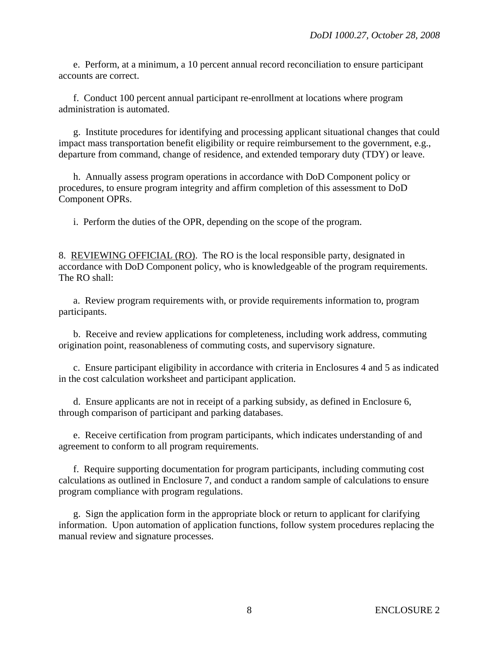e. Perform, at a minimum, a 10 percent annual record reconciliation to ensure participant accounts are correct.

 f. Conduct 100 percent annual participant re-enrollment at locations where program administration is automated.

 g. Institute procedures for identifying and processing applicant situational changes that could impact mass transportation benefit eligibility or require reimbursement to the government, e.g., departure from command, change of residence, and extended temporary duty (TDY) or leave.

 h. Annually assess program operations in accordance with DoD Component policy or procedures, to ensure program integrity and affirm completion of this assessment to DoD Component OPRs.

i. Perform the duties of the OPR, depending on the scope of the program.

8. REVIEWING OFFICIAL (RO). The RO is the local responsible party, designated in accordance with DoD Component policy, who is knowledgeable of the program requirements. The RO shall:

 a. Review program requirements with, or provide requirements information to, program participants.

 b. Receive and review applications for completeness, including work address, commuting origination point, reasonableness of commuting costs, and supervisory signature.

 c. Ensure participant eligibility in accordance with criteria in Enclosures 4 and 5 as indicated in the cost calculation worksheet and participant application.

 d. Ensure applicants are not in receipt of a parking subsidy, as defined in Enclosure 6, through comparison of participant and parking databases.

 e. Receive certification from program participants, which indicates understanding of and agreement to conform to all program requirements.

 f. Require supporting documentation for program participants, including commuting cost calculations as outlined in Enclosure 7, and conduct a random sample of calculations to ensure program compliance with program regulations.

 g. Sign the application form in the appropriate block or return to applicant for clarifying information. Upon automation of application functions, follow system procedures replacing the manual review and signature processes.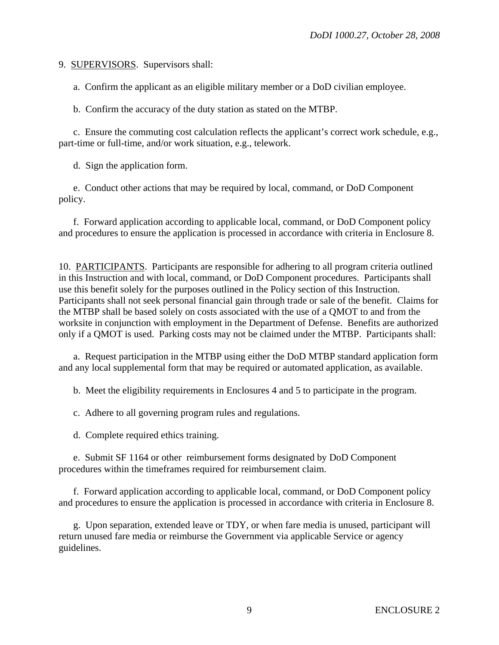9. SUPERVISORS. Supervisors shall:

a. Confirm the applicant as an eligible military member or a DoD civilian employee.

b. Confirm the accuracy of the duty station as stated on the MTBP.

 c. Ensure the commuting cost calculation reflects the applicant's correct work schedule, e.g., part-time or full-time, and/or work situation, e.g., telework.

d. Sign the application form.

 e. Conduct other actions that may be required by local, command, or DoD Component policy.

 f. Forward application according to applicable local, command, or DoD Component policy and procedures to ensure the application is processed in accordance with criteria in Enclosure 8.

10. PARTICIPANTS. Participants are responsible for adhering to all program criteria outlined in this Instruction and with local, command, or DoD Component procedures. Participants shall use this benefit solely for the purposes outlined in the Policy section of this Instruction. Participants shall not seek personal financial gain through trade or sale of the benefit. Claims for the MTBP shall be based solely on costs associated with the use of a QMOT to and from the worksite in conjunction with employment in the Department of Defense. Benefits are authorized only if a QMOT is used. Parking costs may not be claimed under the MTBP. Participants shall:

 a. Request participation in the MTBP using either the DoD MTBP standard application form and any local supplemental form that may be required or automated application, as available.

b. Meet the eligibility requirements in Enclosures 4 and 5 to participate in the program.

c. Adhere to all governing program rules and regulations.

d. Complete required ethics training.

 e. Submit SF 1164 or other reimbursement forms designated by DoD Component procedures within the timeframes required for reimbursement claim.

 f. Forward application according to applicable local, command, or DoD Component policy and procedures to ensure the application is processed in accordance with criteria in Enclosure 8.

 g. Upon separation, extended leave or TDY, or when fare media is unused, participant will return unused fare media or reimburse the Government via applicable Service or agency guidelines.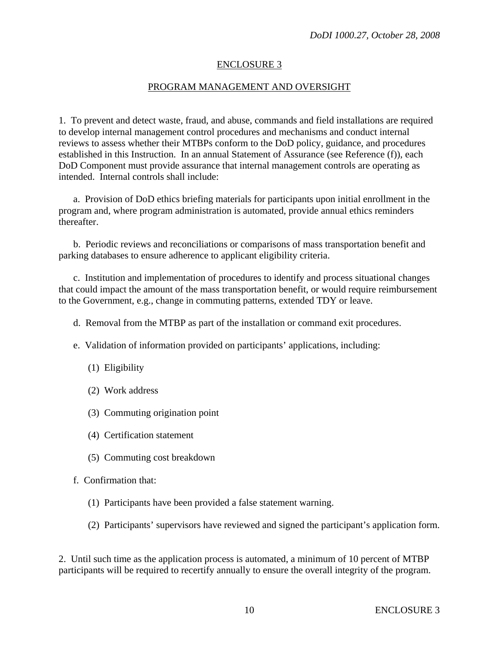#### PROGRAM MANAGEMENT AND OVERSIGHT

1. To prevent and detect waste, fraud, and abuse, commands and field installations are required to develop internal management control procedures and mechanisms and conduct internal reviews to assess whether their MTBPs conform to the DoD policy, guidance, and procedures established in this Instruction. In an annual Statement of Assurance (see Reference (f)), each DoD Component must provide assurance that internal management controls are operating as intended. Internal controls shall include:

 a. Provision of DoD ethics briefing materials for participants upon initial enrollment in the program and, where program administration is automated, provide annual ethics reminders thereafter.

 b. Periodic reviews and reconciliations or comparisons of mass transportation benefit and parking databases to ensure adherence to applicant eligibility criteria.

 c. Institution and implementation of procedures to identify and process situational changes that could impact the amount of the mass transportation benefit, or would require reimbursement to the Government, e.g., change in commuting patterns, extended TDY or leave.

- d. Removal from the MTBP as part of the installation or command exit procedures.
- e. Validation of information provided on participants' applications, including:
	- (1) Eligibility
	- (2) Work address
	- (3) Commuting origination point
	- (4) Certification statement
	- (5) Commuting cost breakdown
- f. Confirmation that:
	- (1) Participants have been provided a false statement warning.
	- (2) Participants' supervisors have reviewed and signed the participant's application form.

2. Until such time as the application process is automated, a minimum of 10 percent of MTBP participants will be required to recertify annually to ensure the overall integrity of the program.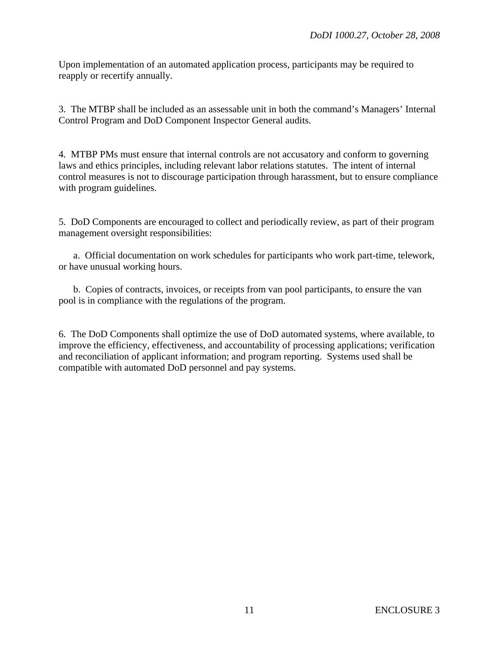Upon implementation of an automated application process, participants may be required to reapply or recertify annually.

3. The MTBP shall be included as an assessable unit in both the command's Managers' Internal Control Program and DoD Component Inspector General audits.

4. MTBP PMs must ensure that internal controls are not accusatory and conform to governing laws and ethics principles, including relevant labor relations statutes. The intent of internal control measures is not to discourage participation through harassment, but to ensure compliance with program guidelines.

5. DoD Components are encouraged to collect and periodically review, as part of their program management oversight responsibilities:

 a. Official documentation on work schedules for participants who work part-time, telework, or have unusual working hours.

 b. Copies of contracts, invoices, or receipts from van pool participants, to ensure the van pool is in compliance with the regulations of the program.

6. The DoD Components shall optimize the use of DoD automated systems, where available, to improve the efficiency, effectiveness, and accountability of processing applications; verification and reconciliation of applicant information; and program reporting. Systems used shall be compatible with automated DoD personnel and pay systems.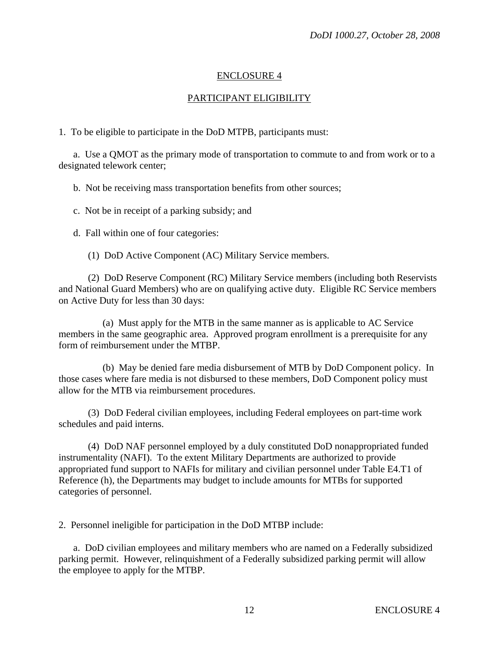## PARTICIPANT ELIGIBILITY

1. To be eligible to participate in the DoD MTPB, participants must:

 a. Use a QMOT as the primary mode of transportation to commute to and from work or to a designated telework center;

b. Not be receiving mass transportation benefits from other sources;

c. Not be in receipt of a parking subsidy; and

d. Fall within one of four categories:

(1) DoD Active Component (AC) Military Service members.

 (2) DoD Reserve Component (RC) Military Service members (including both Reservists and National Guard Members) who are on qualifying active duty. Eligible RC Service members on Active Duty for less than 30 days:

 (a) Must apply for the MTB in the same manner as is applicable to AC Service members in the same geographic area. Approved program enrollment is a prerequisite for any form of reimbursement under the MTBP.

 (b) May be denied fare media disbursement of MTB by DoD Component policy. In those cases where fare media is not disbursed to these members, DoD Component policy must allow for the MTB via reimbursement procedures.

 (3) DoD Federal civilian employees, including Federal employees on part-time work schedules and paid interns.

 (4) DoD NAF personnel employed by a duly constituted DoD nonappropriated funded instrumentality (NAFI). To the extent Military Departments are authorized to provide appropriated fund support to NAFIs for military and civilian personnel under Table E4.T1 of Reference (h), the Departments may budget to include amounts for MTBs for supported categories of personnel.

2. Personnel ineligible for participation in the DoD MTBP include:

 a. DoD civilian employees and military members who are named on a Federally subsidized parking permit. However, relinquishment of a Federally subsidized parking permit will allow the employee to apply for the MTBP.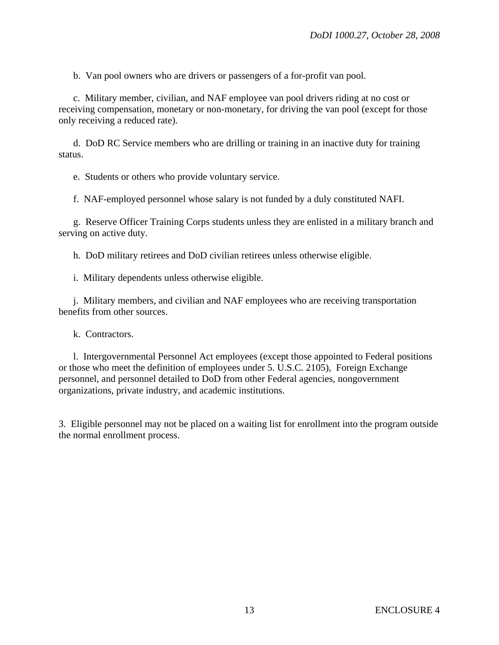b. Van pool owners who are drivers or passengers of a for-profit van pool.

 c. Military member, civilian, and NAF employee van pool drivers riding at no cost or receiving compensation, monetary or non-monetary, for driving the van pool (except for those only receiving a reduced rate).

 d. DoD RC Service members who are drilling or training in an inactive duty for training status.

e. Students or others who provide voluntary service.

f. NAF-employed personnel whose salary is not funded by a duly constituted NAFI.

 g. Reserve Officer Training Corps students unless they are enlisted in a military branch and serving on active duty.

h. DoD military retirees and DoD civilian retirees unless otherwise eligible.

i. Military dependents unless otherwise eligible.

 j. Military members, and civilian and NAF employees who are receiving transportation benefits from other sources.

k. Contractors.

 l. Intergovernmental Personnel Act employees (except those appointed to Federal positions or those who meet the definition of employees under 5. U.S.C. 2105), Foreign Exchange personnel, and personnel detailed to DoD from other Federal agencies, nongovernment organizations, private industry, and academic institutions.

3. Eligible personnel may not be placed on a waiting list for enrollment into the program outside the normal enrollment process.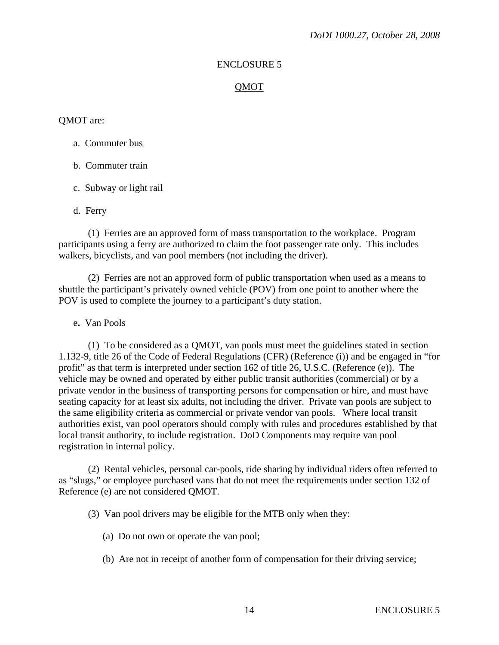#### QMOT

#### QMOT are:

#### a. Commuter bus

- b. Commuter train
- c. Subway or light rail
- d. Ferry

(1) Ferries are an approved form of mass transportation to the workplace. Program participants using a ferry are authorized to claim the foot passenger rate only. This includes walkers, bicyclists, and van pool members (not including the driver).

(2)Ferries are not an approved form of public transportation when used as a means to shuttle the participant's privately owned vehicle (POV) from one point to another where the POV is used to complete the journey to a participant's duty station.

e**.** Van Pools

(1) To be considered as a QMOT, van pools must meet the guidelines stated in section 1.132-9, title 26 of the Code of Federal Regulations (CFR) (Reference (i)) and be engaged in "for profit" as that term is interpreted under section 162 of title 26, U.S.C. (Reference (e)). The vehicle may be owned and operated by either public transit authorities (commercial) or by a private vendor in the business of transporting persons for compensation or hire, and must have seating capacity for at least six adults, not including the driver. Private van pools are subject to the same eligibility criteria as commercial or private vendor van pools. Where local transit authorities exist, van pool operators should comply with rules and procedures established by that local transit authority, to include registration. DoD Components may require van pool registration in internal policy.

(2) Rental vehicles, personal car-pools, ride sharing by individual riders often referred to as "slugs," or employee purchased vans that do not meet the requirements under section 132 of Reference (e) are not considered QMOT.

(3) Van pool drivers may be eligible for the MTB only when they:

- (a) Do not own or operate the van pool;
- (b) Are not in receipt of another form of compensation for their driving service;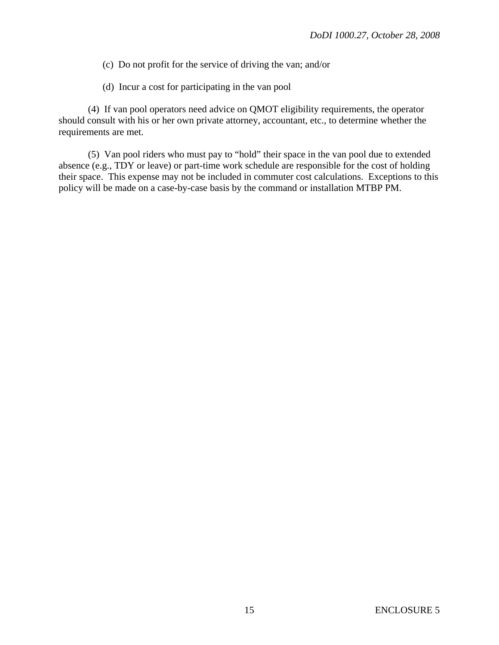- (c) Do not profit for the service of driving the van; and/or
- (d) Incur a cost for participating in the van pool

(4) If van pool operators need advice on QMOT eligibility requirements, the operator should consult with his or her own private attorney, accountant, etc., to determine whether the requirements are met.

(5) Van pool riders who must pay to "hold" their space in the van pool due to extended absence (e.g., TDY or leave) or part-time work schedule are responsible for the cost of holding their space. This expense may not be included in commuter cost calculations. Exceptions to this policy will be made on a case-by-case basis by the command or installation MTBP PM.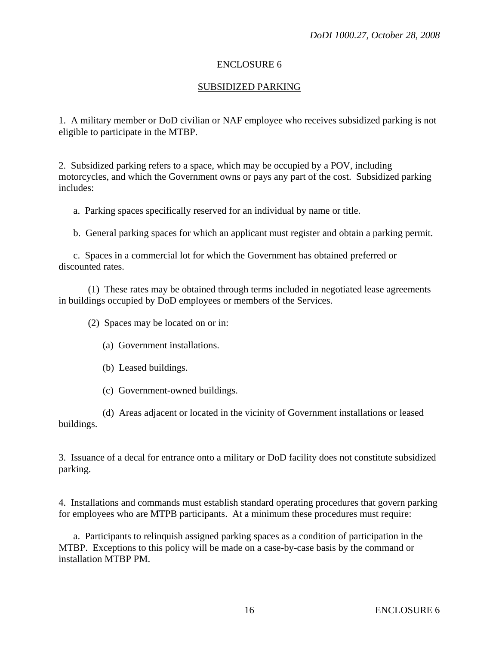## SUBSIDIZED PARKING

1. A military member or DoD civilian or NAF employee who receives subsidized parking is not eligible to participate in the MTBP.

2. Subsidized parking refers to a space, which may be occupied by a POV, including motorcycles, and which the Government owns or pays any part of the cost. Subsidized parking includes:

a. Parking spaces specifically reserved for an individual by name or title.

b. General parking spaces for which an applicant must register and obtain a parking permit.

 c. Spaces in a commercial lot for which the Government has obtained preferred or discounted rates.

 (1) These rates may be obtained through terms included in negotiated lease agreements in buildings occupied by DoD employees or members of the Services.

(2) Spaces may be located on or in:

- (a) Government installations.
- (b) Leased buildings.
- (c) Government-owned buildings.

 (d) Areas adjacent or located in the vicinity of Government installations or leased buildings.

3. Issuance of a decal for entrance onto a military or DoD facility does not constitute subsidized parking.

4. Installations and commands must establish standard operating procedures that govern parking for employees who are MTPB participants. At a minimum these procedures must require:

 a. Participants to relinquish assigned parking spaces as a condition of participation in the MTBP. Exceptions to this policy will be made on a case-by-case basis by the command or installation MTBP PM.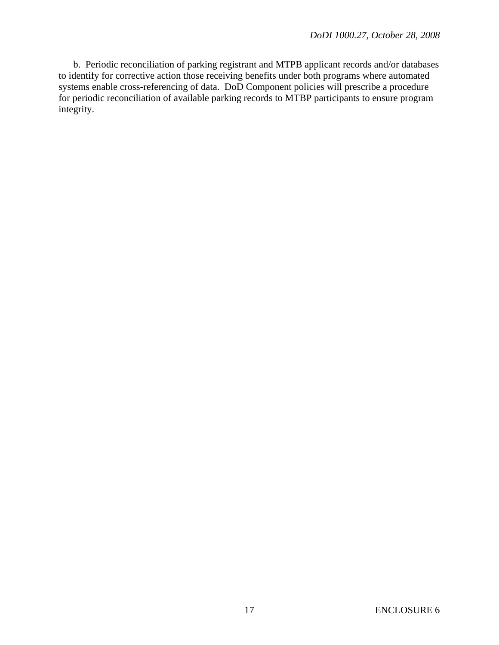b. Periodic reconciliation of parking registrant and MTPB applicant records and/or databases to identify for corrective action those receiving benefits under both programs where automated systems enable cross-referencing of data. DoD Component policies will prescribe a procedure for periodic reconciliation of available parking records to MTBP participants to ensure program integrity.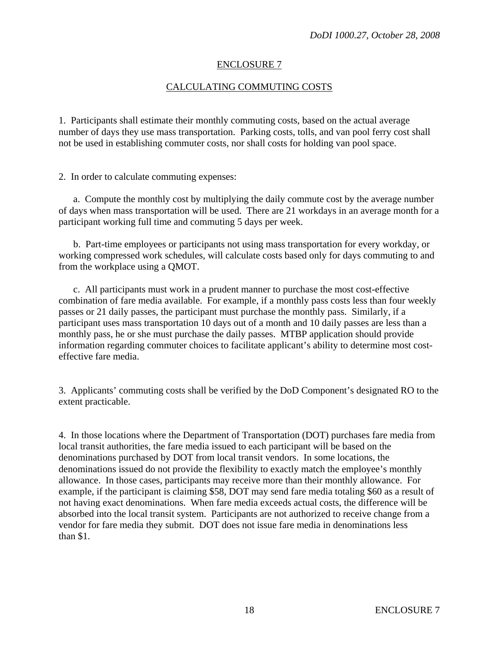## CALCULATING COMMUTING COSTS

1. Participants shall estimate their monthly commuting costs, based on the actual average number of days they use mass transportation. Parking costs, tolls, and van pool ferry cost shall not be used in establishing commuter costs, nor shall costs for holding van pool space.

2. In order to calculate commuting expenses:

 a. Compute the monthly cost by multiplying the daily commute cost by the average number of days when mass transportation will be used. There are 21 workdays in an average month for a participant working full time and commuting 5 days per week.

 b. Part-time employees or participants not using mass transportation for every workday, or working compressed work schedules, will calculate costs based only for days commuting to and from the workplace using a QMOT.

 c. All participants must work in a prudent manner to purchase the most cost-effective combination of fare media available. For example, if a monthly pass costs less than four weekly passes or 21 daily passes, the participant must purchase the monthly pass. Similarly, if a participant uses mass transportation 10 days out of a month and 10 daily passes are less than a monthly pass, he or she must purchase the daily passes. MTBP application should provide information regarding commuter choices to facilitate applicant's ability to determine most costeffective fare media.

3. Applicants' commuting costs shall be verified by the DoD Component's designated RO to the extent practicable.

4. In those locations where the Department of Transportation (DOT) purchases fare media from local transit authorities, the fare media issued to each participant will be based on the denominations purchased by DOT from local transit vendors. In some locations, the denominations issued do not provide the flexibility to exactly match the employee's monthly allowance. In those cases, participants may receive more than their monthly allowance. For example, if the participant is claiming \$58, DOT may send fare media totaling \$60 as a result of not having exact denominations. When fare media exceeds actual costs, the difference will be absorbed into the local transit system. Participants are not authorized to receive change from a vendor for fare media they submit. DOT does not issue fare media in denominations less than \$1.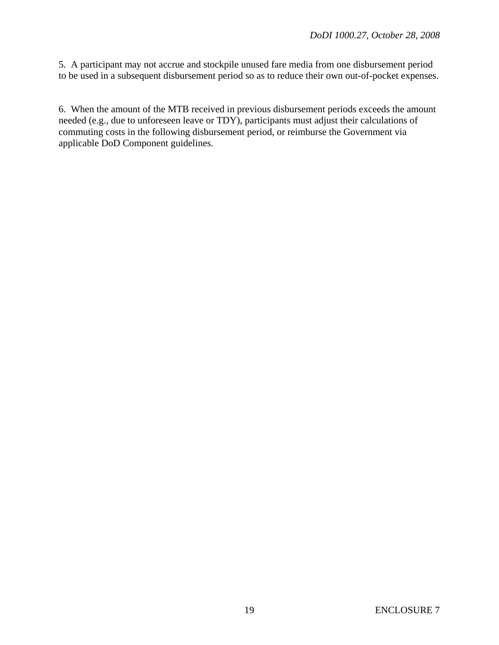5. A participant may not accrue and stockpile unused fare media from one disbursement period to be used in a subsequent disbursement period so as to reduce their own out-of-pocket expenses.

6. When the amount of the MTB received in previous disbursement periods exceeds the amount needed (e.g., due to unforeseen leave or TDY), participants must adjust their calculations of commuting costs in the following disbursement period, or reimburse the Government via applicable DoD Component guidelines.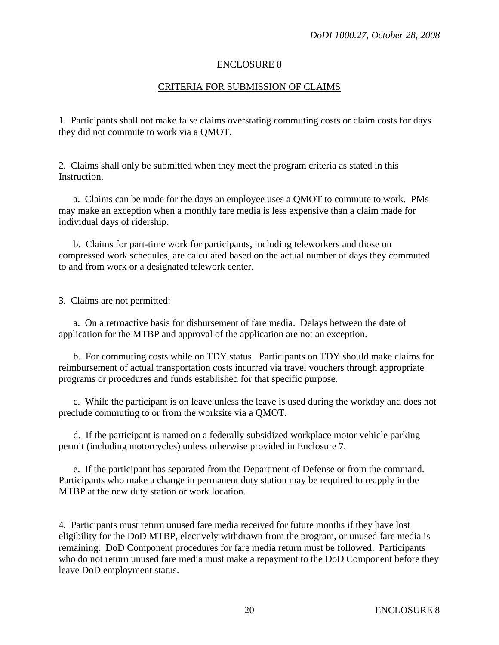## CRITERIA FOR SUBMISSION OF CLAIMS

1. Participants shall not make false claims overstating commuting costs or claim costs for days they did not commute to work via a QMOT.

2. Claims shall only be submitted when they meet the program criteria as stated in this Instruction.

 a. Claims can be made for the days an employee uses a QMOT to commute to work. PMs may make an exception when a monthly fare media is less expensive than a claim made for individual days of ridership.

 b. Claims for part-time work for participants, including teleworkers and those on compressed work schedules, are calculated based on the actual number of days they commuted to and from work or a designated telework center.

3. Claims are not permitted:

 a. On a retroactive basis for disbursement of fare media. Delays between the date of application for the MTBP and approval of the application are not an exception.

 b. For commuting costs while on TDY status. Participants on TDY should make claims for reimbursement of actual transportation costs incurred via travel vouchers through appropriate programs or procedures and funds established for that specific purpose.

 c. While the participant is on leave unless the leave is used during the workday and does not preclude commuting to or from the worksite via a QMOT.

 d. If the participant is named on a federally subsidized workplace motor vehicle parking permit (including motorcycles) unless otherwise provided in Enclosure 7.

 e. If the participant has separated from the Department of Defense or from the command. Participants who make a change in permanent duty station may be required to reapply in the MTBP at the new duty station or work location.

4. Participants must return unused fare media received for future months if they have lost eligibility for the DoD MTBP, electively withdrawn from the program, or unused fare media is remaining. DoD Component procedures for fare media return must be followed. Participants who do not return unused fare media must make a repayment to the DoD Component before they leave DoD employment status.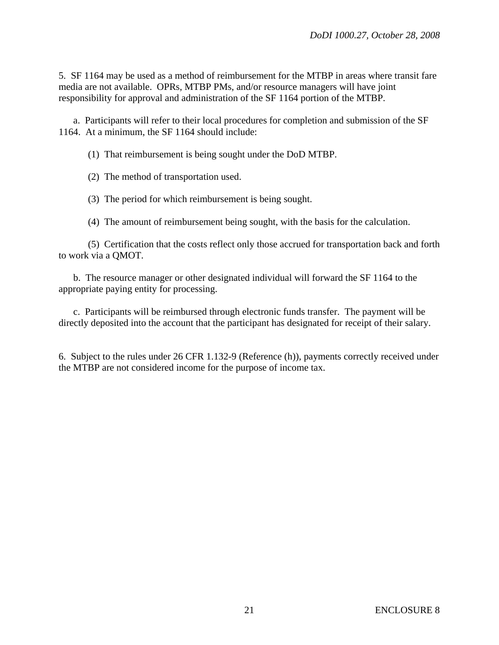5. SF 1164 may be used as a method of reimbursement for the MTBP in areas where transit fare media are not available. OPRs, MTBP PMs, and/or resource managers will have joint responsibility for approval and administration of the SF 1164 portion of the MTBP.

 a. Participants will refer to their local procedures for completion and submission of the SF 1164. At a minimum, the SF 1164 should include:

(1) That reimbursement is being sought under the DoD MTBP.

(2) The method of transportation used.

(3) The period for which reimbursement is being sought.

(4) The amount of reimbursement being sought, with the basis for the calculation.

 (5) Certification that the costs reflect only those accrued for transportation back and forth to work via a QMOT.

 b. The resource manager or other designated individual will forward the SF 1164 to the appropriate paying entity for processing.

 c. Participants will be reimbursed through electronic funds transfer. The payment will be directly deposited into the account that the participant has designated for receipt of their salary.

6. Subject to the rules under 26 CFR 1.132-9 (Reference (h)), payments correctly received under the MTBP are not considered income for the purpose of income tax.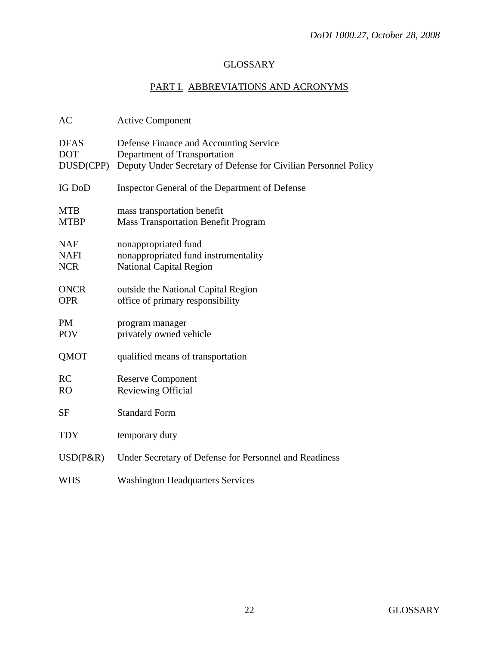# **GLOSSARY**

# PART I. ABBREVIATIONS AND ACRONYMS

| AC                                      | <b>Active Component</b>                                                                                                                   |
|-----------------------------------------|-------------------------------------------------------------------------------------------------------------------------------------------|
| <b>DFAS</b><br><b>DOT</b><br>DUSD(CPP)  | Defense Finance and Accounting Service<br>Department of Transportation<br>Deputy Under Secretary of Defense for Civilian Personnel Policy |
| <b>IG DoD</b>                           | Inspector General of the Department of Defense                                                                                            |
| <b>MTB</b><br><b>MTBP</b>               | mass transportation benefit<br><b>Mass Transportation Benefit Program</b>                                                                 |
| <b>NAF</b><br><b>NAFI</b><br><b>NCR</b> | nonappropriated fund<br>nonappropriated fund instrumentality<br><b>National Capital Region</b>                                            |
| <b>ONCR</b><br><b>OPR</b>               | outside the National Capital Region<br>office of primary responsibility                                                                   |
| <b>PM</b><br><b>POV</b>                 | program manager<br>privately owned vehicle                                                                                                |
| QMOT                                    | qualified means of transportation                                                                                                         |
| RC<br><b>RO</b>                         | <b>Reserve Component</b><br>Reviewing Official                                                                                            |
| SF                                      | <b>Standard Form</b>                                                                                                                      |
| <b>TDY</b>                              | temporary duty                                                                                                                            |
| $USD(P\&R)$                             | Under Secretary of Defense for Personnel and Readiness                                                                                    |
| WHS                                     | <b>Washington Headquarters Services</b>                                                                                                   |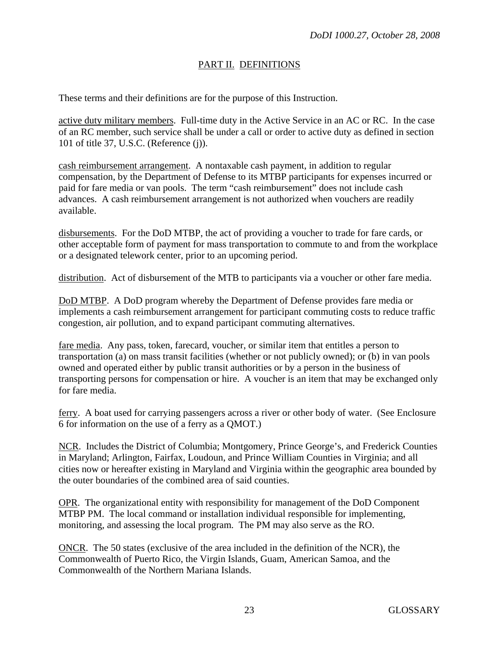## PART II. DEFINITIONS

These terms and their definitions are for the purpose of this Instruction.

active duty military members. Full-time duty in the Active Service in an AC or RC. In the case of an RC member, such service shall be under a call or order to active duty as defined in section 101 of title 37, U.S.C. (Reference (j)).

cash reimbursement arrangement. A nontaxable cash payment, in addition to regular compensation, by the Department of Defense to its MTBP participants for expenses incurred or paid for fare media or van pools. The term "cash reimbursement" does not include cash advances. A cash reimbursement arrangement is not authorized when vouchers are readily available.

disbursements. For the DoD MTBP, the act of providing a voucher to trade for fare cards, or other acceptable form of payment for mass transportation to commute to and from the workplace or a designated telework center, prior to an upcoming period.

distribution. Act of disbursement of the MTB to participants via a voucher or other fare media.

DoD MTBP. A DoD program whereby the Department of Defense provides fare media or implements a cash reimbursement arrangement for participant commuting costs to reduce traffic congestion, air pollution, and to expand participant commuting alternatives.

fare media. Any pass, token, farecard, voucher, or similar item that entitles a person to transportation (a) on mass transit facilities (whether or not publicly owned); or (b) in van pools owned and operated either by public transit authorities or by a person in the business of transporting persons for compensation or hire. A voucher is an item that may be exchanged only for fare media.

ferry. A boat used for carrying passengers across a river or other body of water. (See Enclosure 6 for information on the use of a ferry as a QMOT.)

NCR. Includes the District of Columbia; Montgomery, Prince George's, and Frederick Counties in Maryland; Arlington, Fairfax, Loudoun, and Prince William Counties in Virginia; and all cities now or hereafter existing in Maryland and Virginia within the geographic area bounded by the outer boundaries of the combined area of said counties.

OPR. The organizational entity with responsibility for management of the DoD Component MTBP PM. The local command or installation individual responsible for implementing, monitoring, and assessing the local program. The PM may also serve as the RO.

ONCR. The 50 states (exclusive of the area included in the definition of the NCR), the Commonwealth of Puerto Rico, the Virgin Islands, Guam, American Samoa, and the Commonwealth of the Northern Mariana Islands.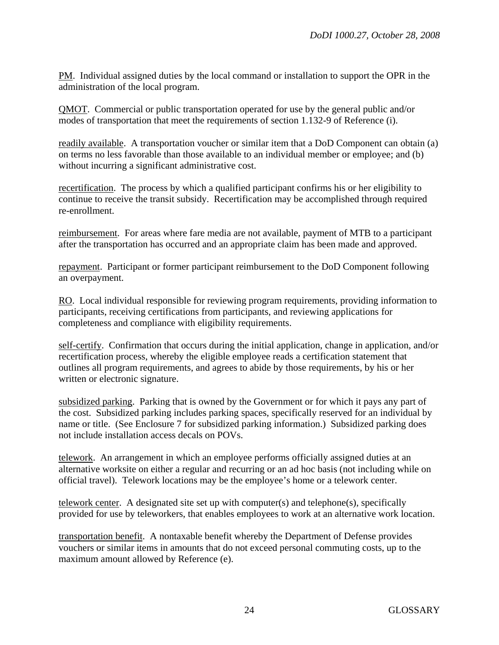PM. Individual assigned duties by the local command or installation to support the OPR in the administration of the local program.

QMOT. Commercial or public transportation operated for use by the general public and/or modes of transportation that meet the requirements of section 1.132-9 of Reference (i).

readily available. A transportation voucher or similar item that a DoD Component can obtain (a) on terms no less favorable than those available to an individual member or employee; and (b) without incurring a significant administrative cost.

recertification. The process by which a qualified participant confirms his or her eligibility to continue to receive the transit subsidy. Recertification may be accomplished through required re-enrollment.

reimbursement. For areas where fare media are not available, payment of MTB to a participant after the transportation has occurred and an appropriate claim has been made and approved.

repayment. Participant or former participant reimbursement to the DoD Component following an overpayment.

RO. Local individual responsible for reviewing program requirements, providing information to participants, receiving certifications from participants, and reviewing applications for completeness and compliance with eligibility requirements.

self-certify. Confirmation that occurs during the initial application, change in application, and/or recertification process, whereby the eligible employee reads a certification statement that outlines all program requirements, and agrees to abide by those requirements, by his or her written or electronic signature.

subsidized parking. Parking that is owned by the Government or for which it pays any part of the cost. Subsidized parking includes parking spaces, specifically reserved for an individual by name or title. (See Enclosure 7 for subsidized parking information.) Subsidized parking does not include installation access decals on POVs.

telework. An arrangement in which an employee performs officially assigned duties at an alternative worksite on either a regular and recurring or an ad hoc basis (not including while on official travel). Telework locations may be the employee's home or a telework center.

telework center. A designated site set up with computer(s) and telephone(s), specifically provided for use by teleworkers, that enables employees to work at an alternative work location.

transportation benefit. A nontaxable benefit whereby the Department of Defense provides vouchers or similar items in amounts that do not exceed personal commuting costs, up to the maximum amount allowed by Reference (e).